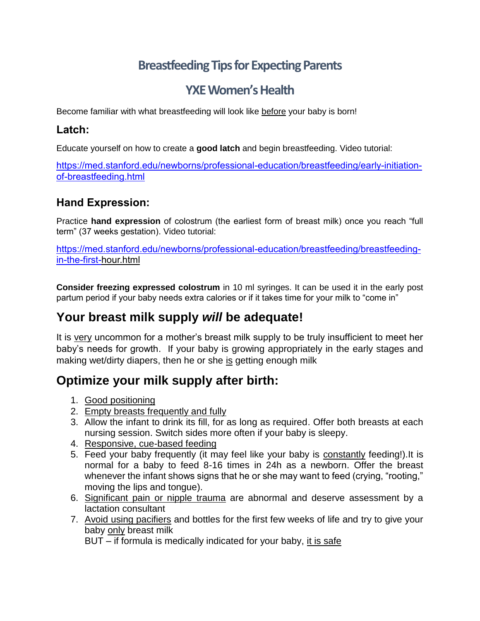# **Breastfeeding Tips for Expecting Parents**

# **YXE Women's Health**

Become familiar with what breastfeeding will look like before your baby is born!

### **Latch:**

Educate yourself on how to create a **good latch** and begin breastfeeding. Video tutorial:

[https://med.stanford.edu/newborns/professional-education/breastfeeding/early-initiation](https://med.stanford.edu/newborns/professional-education/breastfeeding/early-initiation-of-breastfeeding.html)[of-breastfeeding.html](https://med.stanford.edu/newborns/professional-education/breastfeeding/early-initiation-of-breastfeeding.html)

### **Hand Expression:**

Practice **hand expression** of colostrum (the earliest form of breast milk) once you reach "full term" (37 weeks gestation). Video tutorial:

[https://med.stanford.edu/newborns/professional-education/breastfeeding/breastfeeding](https://med.stanford.edu/newborns/professional-education/breastfeeding/breastfeeding-in-the-first-)[in-the-first-](https://med.stanford.edu/newborns/professional-education/breastfeeding/breastfeeding-in-the-first-)[hour.html](https://med.stanford.edu/newborns/professional-education/breastfeeding/breastfeeding-in-the-first-hour.html)

**Consider freezing expressed colostrum** in 10 ml syringes. It can be used it in the early post partum period if your baby needs extra calories or if it takes time for your milk to "come in"

# **Your breast milk supply** *will* **be adequate!**

It is very uncommon for a mother's breast milk supply to be truly insufficient to meet her baby's needs for growth. If your baby is growing appropriately in the early stages and making wet/dirty diapers, then he or she is getting enough milk

## **Optimize your milk supply after birth:**

- 1. Good positioning
- 2. Empty breasts frequently and fully
- 3. Allow the infant to drink its fill, for as long as required. Offer both breasts at each nursing session. Switch sides more often if your baby is sleepy.
- 4. Responsive, cue-based feeding
- 5. Feed your baby frequently (it may feel like your baby is constantly feeding!).It is normal for a baby to feed 8-16 times in 24h as a newborn. Offer the breast whenever the infant shows signs that he or she may want to feed (crying, "rooting," moving the lips and tongue).
- 6. Significant pain or nipple trauma are abnormal and deserve assessment by a lactation consultant
- 7. Avoid using pacifiers and bottles for the first few weeks of life and try to give your baby only breast milk

BUT – if formula is medically indicated for your baby, it is safe